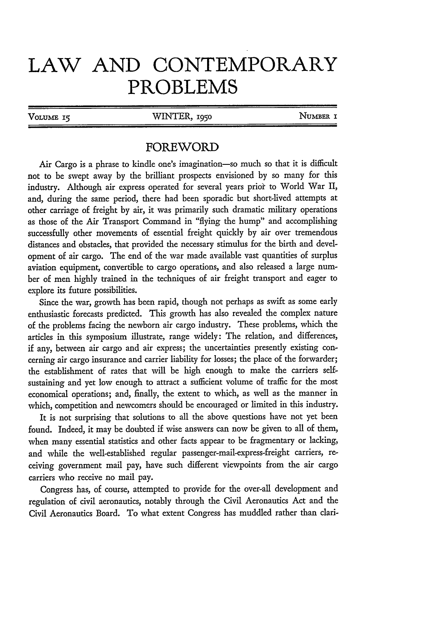## **LAW AND CONTEMPORARY PROBLEMS**

VOLUME 15 **WINTER**, 1950 **NUMBER** 

## FOREWORD

Air Cargo is a phrase to kindle one's imagination-so much so that it is difficult not to be swept away by the brilliant prospects envisioned by so many for this industry. Although air express operated for several years prior to World War II, and, during the same period, there had been sporadic but short-lived attempts at other carriage of freight by air, it was primarily such dramatic military operations as those of the Air Transport Command in "flying the hump" and accomplishing successfully other movements of essential freight quickly by air over tremendous distances and obstacles, that provided the necessary stimulus for the birth and development of air cargo. The end of the war made available vast quantities of surplus aviation equipment, convertible to cargo operations, and also released a large number of men highly trained in the techniques of air freight transport and eager to explore its future possibilities.

Since the war, growth has been rapid, though not perhaps as swift as some early enthusiastic forecasts predicted. This growth has also revealed the complex nature of the problems facing the newborn air cargo industry. These problems, which the articles in this symposium illustrate, range widely: The relation, and differences, if any, between air cargo and air express; the uncertainties presently existing concerning air cargo insurance and carrier liability for losses; the place of the forwarder; the establishment of rates that will be high enough to make the carriers selfsustaining and yet low enough to attract a sufficient volume of traffic for the most economical operations; and, finally, the extent to which, as well as the manner in which, competition and newcomers should be encouraged or limited in this industry.

It is not surprising that solutions to all the above questions have not yet been found. Indeed, it may be doubted if wise answers can now be given to all of them, when many essential statistics and other facts appear to be fragmentary or lacking, and while the well-established regular passenger-mail-express-freight carriers, receiving government mail pay, have such different viewpoints from the air cargo carriers who receive no mail pay.

Congress has, of course, attempted to provide for the over-all development and regulation of civil aeronautics, notably through the Civil Aeronautics Act and the Civil Aeronautics Board. To what extent Congress has muddled rather than clan